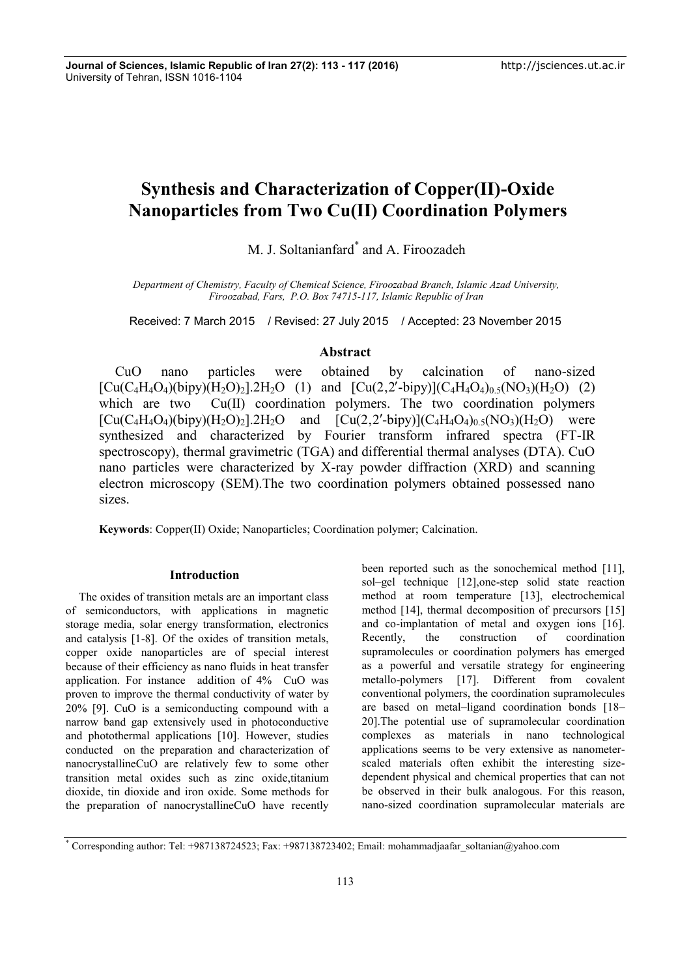# **Synthesis and Characterization of Copper(II)-Oxide Nanoparticles from Two Cu(II) Coordination Polymers**

M. J. Soltanianfard<sup>\*</sup> and A. Firoozadeh

*Department of Chemistry, Faculty of Chemical Science, Firoozabad Branch, Islamic Azad University, Firoozabad, Fars, P.O. Box 74715-117, Islamic Republic of Iran*

Received: 7 March 2015 / Revised: 27 July 2015 / Accepted: 23 November 2015

# **Abstract**

CuO nano particles were obtained by calcination of nano-sized  $[Cu(C_4H_4O_4)(bipy)(H_2O)_2]$ .2H<sub>2</sub>O (1) and  $[Cu(2,2'-bipy)](C_4H_4O_4)_{0.5}(NO_3)(H_2O)$  (2) which are two Cu(II) coordination polymers. The two coordination polymers  $[Cu(C_4H_4O_4)(bipy)(H_2O)_2]$ .2H<sub>2</sub>O and  $[Cu(2,2'-bipy)](C_4H_4O_4)_0$ <sub>5</sub>(NO<sub>3</sub>)(H<sub>2</sub>O) were synthesized and characterized by Fourier transform infrared spectra (FT-IR spectroscopy), thermal gravimetric (TGA) and differential thermal analyses (DTA). CuO nano particles were characterized by X-ray powder diffraction (XRD) and scanning electron microscopy (SEM).The two coordination polymers obtained possessed nano sizes.

**Keywords**: Copper(II) Oxide; Nanoparticles; Coordination polymer; Calcination.

#### **Introduction**

The oxides of transition metals are an important class of semiconductors, with applications in magnetic storage media, solar energy transformation, electronics and catalysis [1-8]. Of the oxides of transition metals, copper oxide nanoparticles are of special interest because of their efficiency as nano fluids in heat transfer application. For instance addition of 4% CuO was proven to improve the thermal conductivity of water by 20% [9]. CuO is a semiconducting compound with a narrow band gap extensively used in photoconductive and photothermal applications [10]. However, studies conducted on the preparation and characterization of nanocrystallineCuO are relatively few to some other transition metal oxides such as zinc oxide,titanium dioxide, tin dioxide and iron oxide. Some methods for the preparation of nanocrystallineCuO have recently been reported such as the sonochemical method [11], sol–gel technique [12],one-step solid state reaction method at room temperature [13], electrochemical method [14], thermal decomposition of precursors [15] and co-implantation of metal and oxygen ions [16]. Recently, the construction of coordination supramolecules or coordination polymers has emerged as a powerful and versatile strategy for engineering metallo-polymers [17]. Different from covalent conventional polymers, the coordination supramolecules are based on metal–ligand coordination bonds [18– 20].The potential use of supramolecular coordination complexes as materials in nano technological applications seems to be very extensive as nanometer scaled materials often exhibit the interesting size dependent physical and chemical properties that can not be observed in their bulk analogous. For this reason, nano-sized coordination supramolecular materials are

<sup>\*</sup> Corresponding author: Tel: +987138724523; Fax: +987138723402; Email: mohammadjaafar\_soltanian@yahoo.com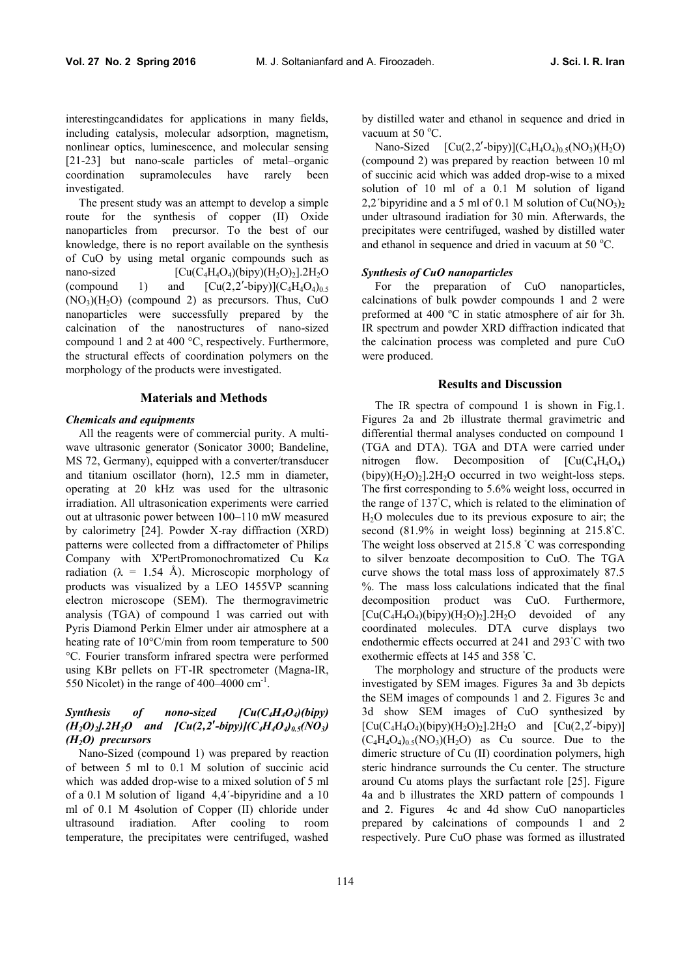interestingcandidates for applications in many fields, including catalysis, molecular adsorption, magnetism, nonlinear optics, luminescence, and molecular sensing [21-23] but nano-scale particles of metal–organic coordination supramolecules have rarely been investigated.

The present study was an attempt to develop a simple route for the synthesis of copper (II) Oxide nanoparticles from precursor. To the best of our knowledge, there is no report available on the synthesis of CuO by using metal organic compounds such as nano-sized  $\text{[Cu(C<sub>4</sub>H<sub>4</sub>O<sub>4</sub>)(bipy)(H<sub>2</sub>O)<sub>2</sub>].2H<sub>2</sub>O}$ (compound 1) and  $\left[ Cu(2,2'-bipy)\right] (C_4H_4O_4)_{0.5}$  $(NO<sub>3</sub>)(H<sub>2</sub>O)$  (compound 2) as precursors. Thus, CuO nanoparticles were successfully prepared by the calcination of the nanostructures of nano-sized compound 1 and 2 at 400 °C, respectively. Furthermore, the structural effects of coordination polymers on the morphology of the products were investigated.

#### **Materials and Methods**

#### *Chemicals and equipments*

All the reagents were of commercial purity. A multi wave ultrasonic generator (Sonicator 3000; Bandeline, MS 72, Germany), equipped with a converter/transducer and titanium oscillator (horn), 12.5 mm in diameter, operating at 20 kHz was used for the ultrasonic irradiation. All ultrasonication experiments were carried out at ultrasonic power between 100–110 mW measured by calorimetry [24]. Powder X-ray diffraction (XRD) patterns were collected from a diffractometer of Philips Company with X'PertPromonochromatized Cu K*α* radiation ( $\lambda = 1.54$  Å). Microscopic morphology of products was visualized by a LEO 1455VP scanning electron microscope (SEM). The thermogravimetric analysis (TGA) of compound 1 was carried out with Pyris Diamond Perkin Elmer under air atmosphere at a heating rate of 10°C/min from room temperature to 500 °C. Fourier transform infrared spectra were performed using KBr pellets on FT-IR spectrometer (Magna-IR, 550 Nicolet) in the range of 400–4000 cm<sup>-1</sup> .

### *Synthesis of nono-sized [Cu(C4H4O4)(bipy)*  $(H_2O)_2$ *,*  $2H_2O$  *and*  $[Cu(2,2'-bipy)](C_4H_4O_4)_{0.5}(NO_3)$ *(H2O) precursors*

Nano-Sized (compound 1) was prepared by reaction of between 5 ml to 0.1 M solution of succinic acid which was added drop-wise to a mixed solution of 5 ml of a 0.1 M solution of ligand 4,4´-bipyridine and a 10 ml of 0.1 M 4solution of Copper (II) chloride under ultrasound iradiation. After cooling to room temperature, the precipitates were centrifuged, washed

by distilled water and ethanol in sequence and dried in vacuum at  $50^{\circ}$ C.

Nano-Sized  $\left[ Cu(2,2'-bipy)\right] (C_4H_4O_4)_0 (NO_3)(H_2O)$ (compound 2) was prepared by reaction between 10 ml of succinic acid which was added drop-wise to a mixed solution of 10 ml of a 0.1 M solution of ligand 2,2′bipyridine and a 5 ml of 0.1 M solution of  $Cu(NO<sub>3</sub>)<sub>2</sub>$ under ultrasound iradiation for 30 min. Afterwards, the precipitates were centrifuged, washed by distilled water and ethanol in sequence and dried in vacuum at  $50^{\circ}$ C.

#### *Synthesis of CuO nanoparticles*

For the preparation of CuO nanoparticles, calcinations of bulk powder compounds 1 and 2 were preformed at 400 ºC in static atmosphere of air for 3h. IR spectrum and powder XRD diffraction indicated that the calcination process was completed and pure CuO were produced.

#### **Results and Discussion**

The IR spectra of compound 1 is shown in Fig.1. Figures 2a and 2b illustrate thermal gravimetric and differential thermal analyses conducted on compound 1 (TGA and DTA). TGA and DTA were carried under nitrogen flow. Decomposition of  $[Cu(C_4H_4O_4)]$  $(bipy)(H<sub>2</sub>O)<sub>2</sub>$ ].2H<sub>2</sub>O occurred in two weight-loss steps. The first corresponding to 5.6% weight loss, occurred in the range of 137◦C, which is related to the elimination of H2O molecules due to its previous exposure to air; the second (81.9% in weight loss) beginning at 215.8<sup>°</sup>C. The weight loss observed at 215.8 ◦C was corresponding to silver benzoate decomposition to CuO. The TGA curve shows the total mass loss of approximately 87.5 %. The mass loss calculations indicated that the final decomposition product was CuO. Furthermore,  $[Cu(C_4H_4O_4)(bipy)(H_2O)_2]$ .2H<sub>2</sub>O devoided of any coordinated molecules. DTA curve displays two endothermic effects occurred at 241 and 293◦C with two exothermic effects at 145 and 358 ◦C.

The morphology and structure of the products were investigated by SEM images. Figures 3a and 3b depicts the SEM images of compounds 1 and 2. Figures 3c and 3d show SEM images of CuO synthesized by  $[Cu(C_4H_4O_4)(bipy)(H_2O)_2]$ . 2H<sub>2</sub>O and  $[Cu(2,2'-bipy)]$  $(C_4H_4O_4)_{0.5}(NO_3)(H_2O)$  as Cu source. Due to the dimeric structure of Cu (II) coordination polymers, high steric hindrance surrounds the Cu center. The structure around Cu atoms plays the surfactant role [25]. Figure 4a and b illustrates the XRD pattern of compounds 1 and 2. Figures 4c and 4d show CuO nanoparticles prepared by calcinations of compounds 1 and 2 respectively. Pure CuO phase was formed as illustrated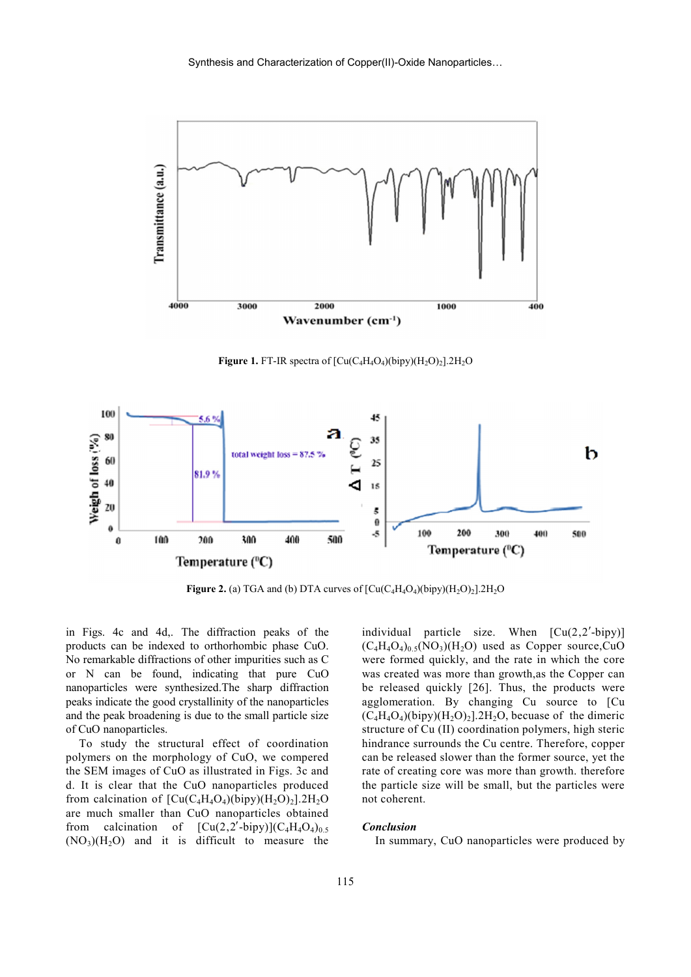

**Figure 1.** FT-IR spectra of  $\left[\text{Cu}(C_4H_4O_4)(\text{bipy})(H_2O)_2\right]$ .2H<sub>2</sub>O



**Figure 2.** (a) TGA and (b) DTA curves of  $\left[ Cu(C_4H_4O_4)(bipy)(H_2O)_2 \right]$ .  $2H_2O$ 

in Figs. 4c and 4d,. The diffraction peaks of the products can be indexed to orthorhombic phase CuO. No remarkable diffractions of other impurities such as C or N can be found, indicating that pure CuO nanoparticles were synthesized.The sharp diffraction peaks indicate the good crystallinity of the nanoparticles and the peak broadening is due to the small particle size of CuO nanoparticles.

To study the structural effect of coordination polymers on the morphology of CuO, we compered the SEM images of CuO as illustrated in Figs. 3c and d. It is clear that the CuO nanoparticles produced from calcination of  $\left[\text{Cu}(C_4H_4O_4)(bipy)(H_2O)_2\right]$ .2H<sub>2</sub>O are much smaller than CuO nanoparticles obtained from calcination of  $[Cu(2,2'-bipy)](C_4H_4O_4)_{0.5}$  $(NO<sub>3</sub>)(H<sub>2</sub>O)$  and it is difficult to measure the individual particle size. When  $\lbrack Cu(2,2'-bipy)]$  $(C_4H_4O_4)_{0.5}(NO_3)(H_2O)$  used as Copper source,CuO were formed quickly, and the rate in which the core was created was more than growth,as the Copper can be released quickly [26]. Thus, the products were agglomeration. By changing Cu source to [Cu  $(C_4H_4O_4)$ (bipy)( $H_2O_2$ ].2H<sub>2</sub>O, becuase of the dimeric structure of Cu (II) coordination polymers, high steric hindrance surrounds the Cu centre. Therefore, copper can be released slower than the former source, yet the rate of creating core was more than growth. therefore the particle size will be small, but the particles were not coherent.

#### *Conclusion*

In summary, CuO nanoparticles were produced by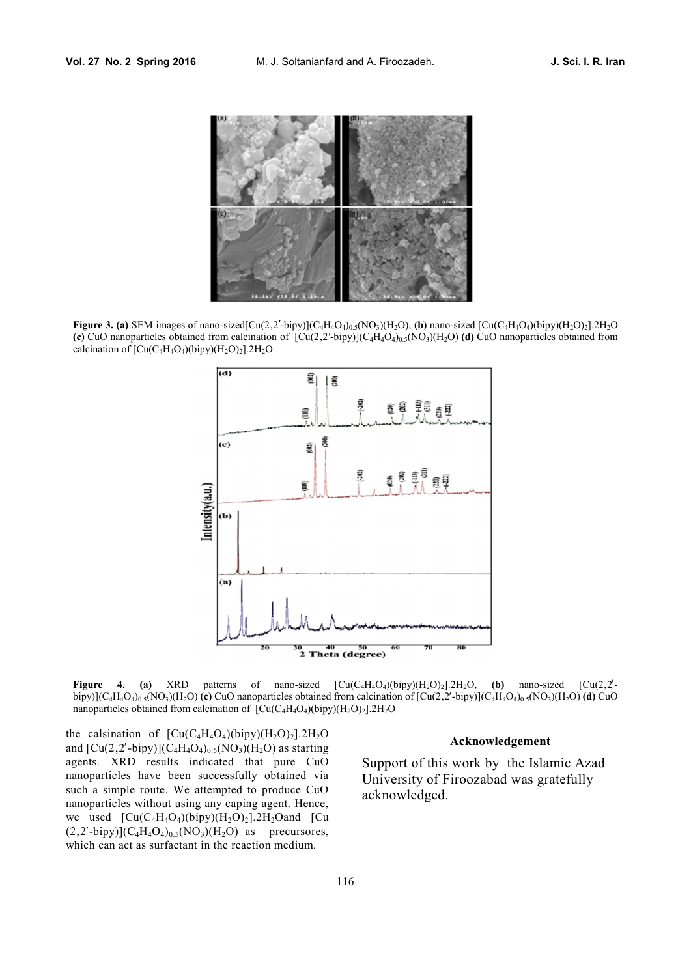

**Figure 3. (a)** SEM images of nano-sized[Cu(2,2'-bipy)](C<sub>4</sub>H<sub>4</sub>O<sub>4</sub>)<sub>0.5</sub>(NO<sub>3</sub>)(H<sub>2</sub>O), **(b)** nano-sized [Cu(C<sub>4</sub>H<sub>4</sub>O<sub>4</sub>)(bipy)(H<sub>2</sub>O)<sub>2</sub>].2H<sub>2</sub>O (c) CuO nanoparticles obtained from calcination of  $[Cu(2,2'-bipy)](C_4H_4O_4)_{0.5}(NO_3)(H_2O)$  (d) CuO nanoparticles obtained from calcination of  $\left[\text{Cu}(C_4H_4O_4)(\text{bipy})(H_2O)_2\right]$ .2H<sub>2</sub>O



**Figure 4.** (a) XRD patterns of nano-sized  $)(bipy)(H_2O)_2$ .<sup>2</sup>H<sub>2</sub>O, **(b)** nano-sized [Cu(2,2<sup>'</sup>bipy)] $(C_4H_4O_4)_{0.5}(NO_3)(H_2O)$  (c) CuO nanoparticles obtained from calcination of  $[Cu(2,2'-bipy)](C_4H_4O_4)_{0.5}(NO_3)(H_2O)$  (d) CuO nanoparticles obtained from calcination of  $[Cu(C_4H_4O_4)(bipy)(H_2O)_2]$ .2H<sub>2</sub>O

the calsination of  $[Cu(C_4H_4O_4)(bipy)(H_2O)_2]$ .2H<sub>2</sub>O and  $\left[\text{Cu}(2,2'\text{-bipy})\right](C_4H_4O_4)_0$ <sub>5</sub>(NO<sub>3</sub>)(H<sub>2</sub>O) as starting agents. XRD results indicated that pure CuO nanoparticles have been successfully obtained via such a simple route. We attempted to produce CuO nanoparticles without using any caping agent. Hence, we used  $\left[\text{Cu}(C_4H_4O_4)(bipy)(H_2O)_2\right]$ .2H<sub>2</sub>Oand  $\left[\text{Cu}\right]$  $(2,2'-bipy)](C_4H_4O_4)_{0.5}(NO_3)(H_2O)$  as precursores, which can act as surfactant in the reaction medium.

## **Acknowledgement**

Support of this work by the Islamic Azad University of Firoozabad was gratefully acknowledged.